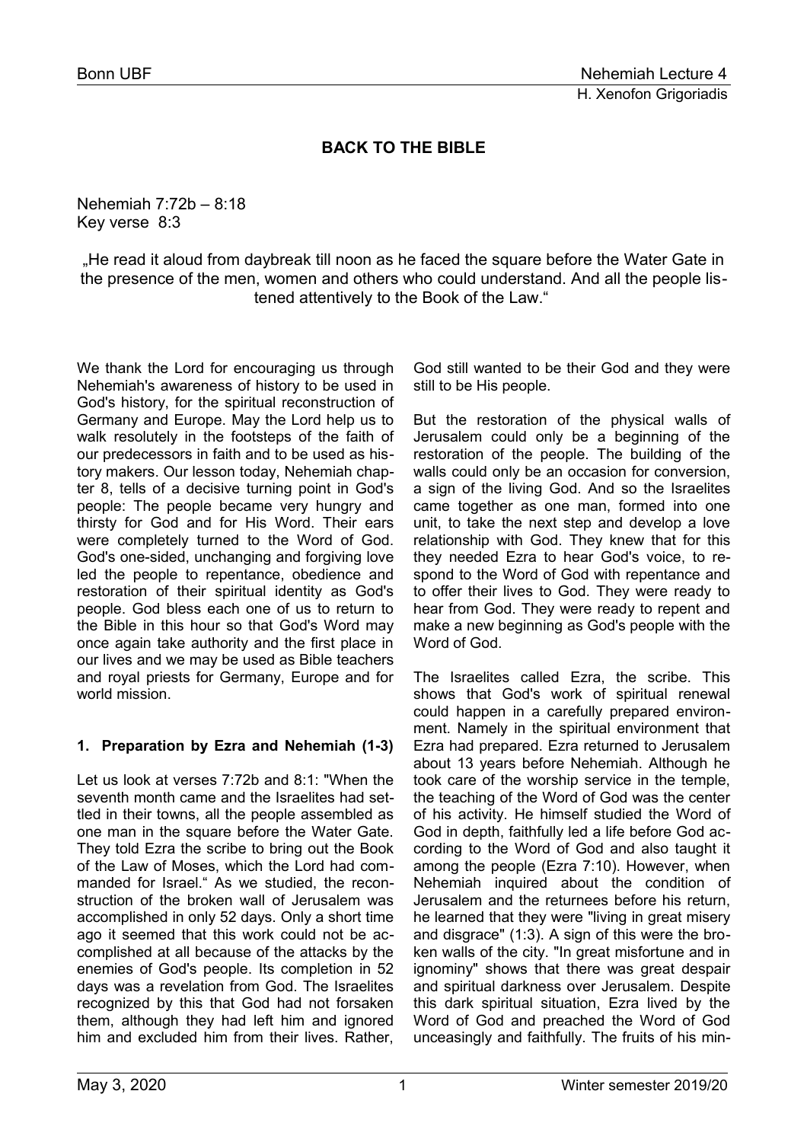# **BACK TO THE BIBLE**

Nehemiah 7:72b – 8:18 Key verse 8:3

"He read it aloud from daybreak till noon as he faced the square before the Water Gate in the presence of the men, women and others who could understand. And all the people listened attentively to the Book of the Law."

We thank the Lord for encouraging us through Nehemiah's awareness of history to be used in God's history, for the spiritual reconstruction of Germany and Europe. May the Lord help us to walk resolutely in the footsteps of the faith of our predecessors in faith and to be used as history makers. Our lesson today, Nehemiah chapter 8, tells of a decisive turning point in God's people: The people became very hungry and thirsty for God and for His Word. Their ears were completely turned to the Word of God. God's one-sided, unchanging and forgiving love led the people to repentance, obedience and restoration of their spiritual identity as God's people. God bless each one of us to return to the Bible in this hour so that God's Word may once again take authority and the first place in our lives and we may be used as Bible teachers and royal priests for Germany, Europe and for world mission

## **1. Preparation by Ezra and Nehemiah (1-3)**

Let us look at verses 7:72b and 8:1: "When the seventh month came and the Israelites had settled in their towns, all the people assembled as one man in the square before the Water Gate. They told Ezra the scribe to bring out the Book of the Law of Moses, which the Lord had commanded for Israel." As we studied, the reconstruction of the broken wall of Jerusalem was accomplished in only 52 days. Only a short time ago it seemed that this work could not be accomplished at all because of the attacks by the enemies of God's people. Its completion in 52 days was a revelation from God. The Israelites recognized by this that God had not forsaken them, although they had left him and ignored him and excluded him from their lives. Rather,

God still wanted to be their God and they were still to be His people.

But the restoration of the physical walls of Jerusalem could only be a beginning of the restoration of the people. The building of the walls could only be an occasion for conversion, a sign of the living God. And so the Israelites came together as one man, formed into one unit, to take the next step and develop a love relationship with God. They knew that for this they needed Ezra to hear God's voice, to respond to the Word of God with repentance and to offer their lives to God. They were ready to hear from God. They were ready to repent and make a new beginning as God's people with the Word of God.

The Israelites called Ezra, the scribe. This shows that God's work of spiritual renewal could happen in a carefully prepared environment. Namely in the spiritual environment that Ezra had prepared. Ezra returned to Jerusalem about 13 years before Nehemiah. Although he took care of the worship service in the temple, the teaching of the Word of God was the center of his activity. He himself studied the Word of God in depth, faithfully led a life before God according to the Word of God and also taught it among the people (Ezra 7:10). However, when Nehemiah inquired about the condition of Jerusalem and the returnees before his return, he learned that they were "living in great misery and disgrace" (1:3). A sign of this were the broken walls of the city. "In great misfortune and in ignominy" shows that there was great despair and spiritual darkness over Jerusalem. Despite this dark spiritual situation, Ezra lived by the Word of God and preached the Word of God unceasingly and faithfully. The fruits of his min-

 $\overline{a}$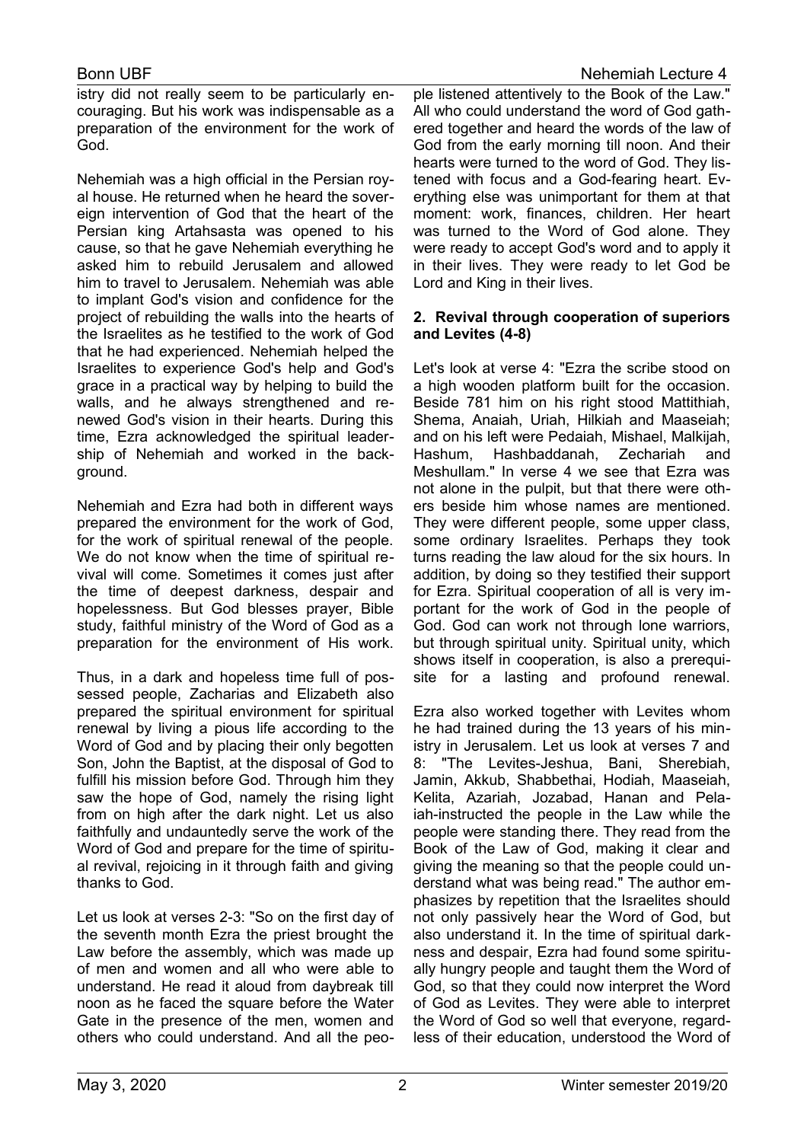istry did not really seem to be particularly encouraging. But his work was indispensable as a preparation of the environment for the work of God.

Nehemiah was a high official in the Persian royal house. He returned when he heard the sovereign intervention of God that the heart of the Persian king Artahsasta was opened to his cause, so that he gave Nehemiah everything he asked him to rebuild Jerusalem and allowed him to travel to Jerusalem. Nehemiah was able to implant God's vision and confidence for the project of rebuilding the walls into the hearts of the Israelites as he testified to the work of God that he had experienced. Nehemiah helped the Israelites to experience God's help and God's grace in a practical way by helping to build the walls, and he always strengthened and renewed God's vision in their hearts. During this time, Ezra acknowledged the spiritual leadership of Nehemiah and worked in the background.

Nehemiah and Ezra had both in different ways prepared the environment for the work of God, for the work of spiritual renewal of the people. We do not know when the time of spiritual revival will come. Sometimes it comes just after the time of deepest darkness, despair and hopelessness. But God blesses prayer, Bible study, faithful ministry of the Word of God as a preparation for the environment of His work.

Thus, in a dark and hopeless time full of possessed people, Zacharias and Elizabeth also prepared the spiritual environment for spiritual renewal by living a pious life according to the Word of God and by placing their only begotten Son, John the Baptist, at the disposal of God to fulfill his mission before God. Through him they saw the hope of God, namely the rising light from on high after the dark night. Let us also faithfully and undauntedly serve the work of the Word of God and prepare for the time of spiritual revival, rejoicing in it through faith and giving thanks to God.

Let us look at verses 2-3: "So on the first day of the seventh month Ezra the priest brought the Law before the assembly, which was made up of men and women and all who were able to understand. He read it aloud from daybreak till noon as he faced the square before the Water Gate in the presence of the men, women and others who could understand. And all the peo-

ple listened attentively to the Book of the Law." All who could understand the word of God gathered together and heard the words of the law of God from the early morning till noon. And their hearts were turned to the word of God. They listened with focus and a God-fearing heart. Everything else was unimportant for them at that moment: work, finances, children. Her heart was turned to the Word of God alone. They were ready to accept God's word and to apply it in their lives. They were ready to let God be Lord and King in their lives.

### **2. Revival through cooperation of superiors and Levites (4-8)**

Let's look at verse 4: "Ezra the scribe stood on a high wooden platform built for the occasion. Beside 781 him on his right stood Mattithiah, Shema, Anaiah, Uriah, Hilkiah and Maaseiah; and on his left were Pedaiah, Mishael, Malkijah, Hashum, Hashbaddanah, Zechariah and Meshullam." In verse 4 we see that Ezra was not alone in the pulpit, but that there were others beside him whose names are mentioned. They were different people, some upper class, some ordinary Israelites. Perhaps they took turns reading the law aloud for the six hours. In addition, by doing so they testified their support for Ezra. Spiritual cooperation of all is very important for the work of God in the people of God. God can work not through lone warriors, but through spiritual unity. Spiritual unity, which shows itself in cooperation, is also a prerequisite for a lasting and profound renewal.

Ezra also worked together with Levites whom he had trained during the 13 years of his ministry in Jerusalem. Let us look at verses 7 and 8: "The Levites-Jeshua, Bani, Sherebiah, Jamin, Akkub, Shabbethai, Hodiah, Maaseiah, Kelita, Azariah, Jozabad, Hanan and Pelaiah-instructed the people in the Law while the people were standing there. They read from the Book of the Law of God, making it clear and giving the meaning so that the people could understand what was being read." The author emphasizes by repetition that the Israelites should not only passively hear the Word of God, but also understand it. In the time of spiritual darkness and despair, Ezra had found some spiritually hungry people and taught them the Word of God, so that they could now interpret the Word of God as Levites. They were able to interpret the Word of God so well that everyone, regardless of their education, understood the Word of

 $\overline{a}$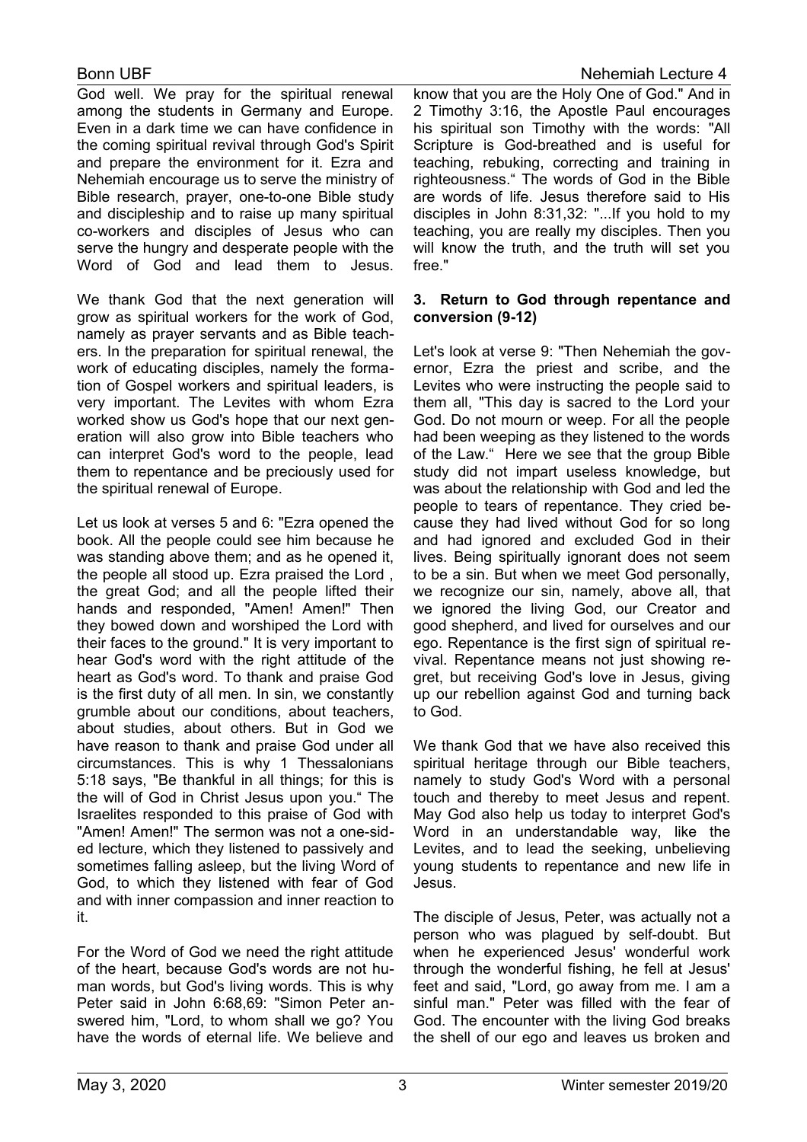God well. We pray for the spiritual renewal among the students in Germany and Europe. Even in a dark time we can have confidence in the coming spiritual revival through God's Spirit and prepare the environment for it. Ezra and Nehemiah encourage us to serve the ministry of Bible research, prayer, one-to-one Bible study and discipleship and to raise up many spiritual co-workers and disciples of Jesus who can serve the hungry and desperate people with the Word of God and lead them to Jesus.

We thank God that the next generation will grow as spiritual workers for the work of God, namely as prayer servants and as Bible teachers. In the preparation for spiritual renewal, the work of educating disciples, namely the formation of Gospel workers and spiritual leaders, is very important. The Levites with whom Ezra worked show us God's hope that our next generation will also grow into Bible teachers who can interpret God's word to the people, lead them to repentance and be preciously used for the spiritual renewal of Europe.

Let us look at verses 5 and 6: "Ezra opened the book. All the people could see him because he was standing above them; and as he opened it, the people all stood up. Ezra praised the Lord , the great God; and all the people lifted their hands and responded, "Amen! Amen!" Then they bowed down and worshiped the Lord with their faces to the ground." It is very important to hear God's word with the right attitude of the heart as God's word. To thank and praise God is the first duty of all men. In sin, we constantly grumble about our conditions, about teachers, about studies, about others. But in God we have reason to thank and praise God under all circumstances. This is why 1 Thessalonians 5:18 says, "Be thankful in all things; for this is the will of God in Christ Jesus upon you." The Israelites responded to this praise of God with "Amen! Amen!" The sermon was not a one-sided lecture, which they listened to passively and sometimes falling asleep, but the living Word of God, to which they listened with fear of God and with inner compassion and inner reaction to it.

For the Word of God we need the right attitude of the heart, because God's words are not human words, but God's living words. This is why Peter said in John 6:68,69: "Simon Peter answered him, "Lord, to whom shall we go? You have the words of eternal life. We believe and

know that you are the Holy One of God." And in 2 Timothy 3:16, the Apostle Paul encourages his spiritual son Timothy with the words: "All Scripture is God-breathed and is useful for teaching, rebuking, correcting and training in righteousness." The words of God in the Bible are words of life. Jesus therefore said to His disciples in John 8:31,32: "...If you hold to my teaching, you are really my disciples. Then you will know the truth, and the truth will set you free."

### **3. Return to God through repentance and conversion (9-12)**

Let's look at verse 9: "Then Nehemiah the governor, Ezra the priest and scribe, and the Levites who were instructing the people said to them all, "This day is sacred to the Lord your God. Do not mourn or weep. For all the people had been weeping as they listened to the words of the Law." Here we see that the group Bible study did not impart useless knowledge, but was about the relationship with God and led the people to tears of repentance. They cried because they had lived without God for so long and had ignored and excluded God in their lives. Being spiritually ignorant does not seem to be a sin. But when we meet God personally, we recognize our sin, namely, above all, that we ignored the living God, our Creator and good shepherd, and lived for ourselves and our ego. Repentance is the first sign of spiritual revival. Repentance means not just showing regret, but receiving God's love in Jesus, giving up our rebellion against God and turning back to God.

We thank God that we have also received this spiritual heritage through our Bible teachers, namely to study God's Word with a personal touch and thereby to meet Jesus and repent. May God also help us today to interpret God's Word in an understandable way, like the Levites, and to lead the seeking, unbelieving young students to repentance and new life in Jesus.

The disciple of Jesus, Peter, was actually not a person who was plagued by self-doubt. But when he experienced Jesus' wonderful work through the wonderful fishing, he fell at Jesus' feet and said, "Lord, go away from me. I am a sinful man." Peter was filled with the fear of God. The encounter with the living God breaks the shell of our ego and leaves us broken and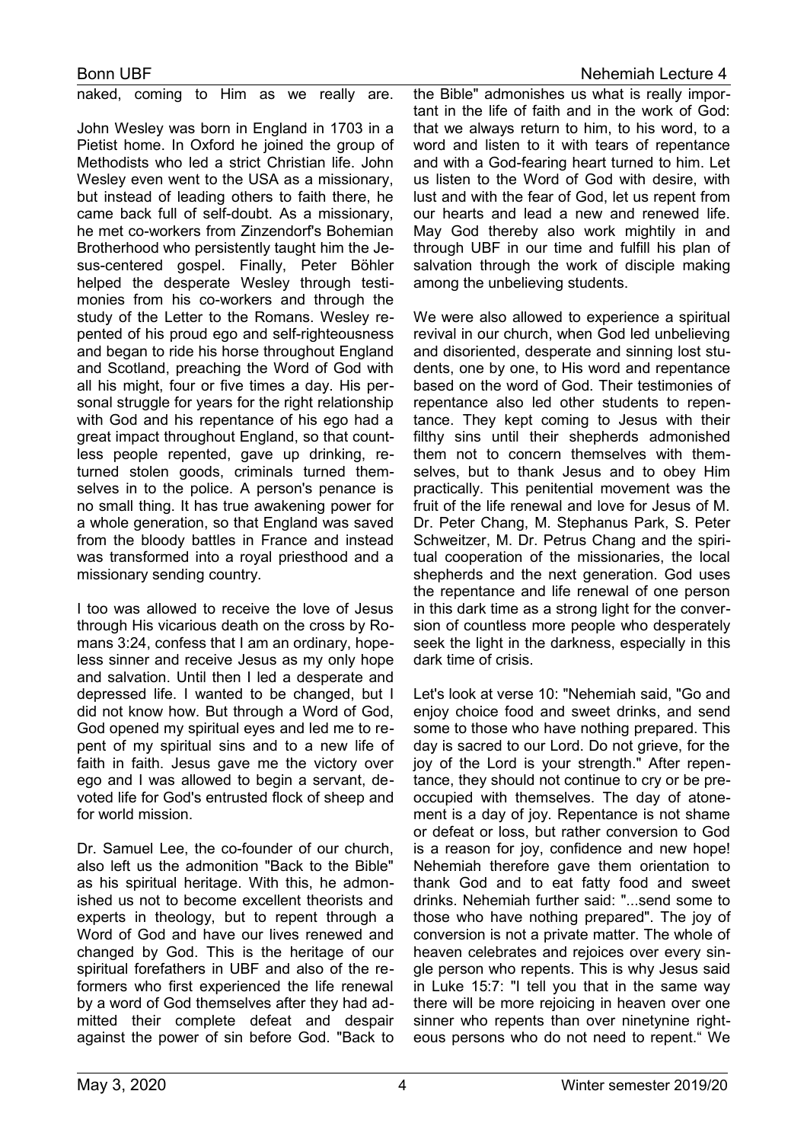naked, coming to Him as we really are.

John Wesley was born in England in 1703 in a Pietist home. In Oxford he joined the group of Methodists who led a strict Christian life. John Wesley even went to the USA as a missionary, but instead of leading others to faith there, he came back full of self-doubt. As a missionary, he met co-workers from Zinzendorf's Bohemian Brotherhood who persistently taught him the Jesus-centered gospel. Finally, Peter Böhler helped the desperate Wesley through testimonies from his co-workers and through the study of the Letter to the Romans. Wesley repented of his proud ego and self-righteousness and began to ride his horse throughout England and Scotland, preaching the Word of God with all his might, four or five times a day. His personal struggle for years for the right relationship with God and his repentance of his ego had a great impact throughout England, so that countless people repented, gave up drinking, returned stolen goods, criminals turned themselves in to the police. A person's penance is no small thing. It has true awakening power for a whole generation, so that England was saved from the bloody battles in France and instead was transformed into a royal priesthood and a missionary sending country.

I too was allowed to receive the love of Jesus through His vicarious death on the cross by Romans 3:24, confess that I am an ordinary, hopeless sinner and receive Jesus as my only hope and salvation. Until then I led a desperate and depressed life. I wanted to be changed, but I did not know how. But through a Word of God, God opened my spiritual eyes and led me to repent of my spiritual sins and to a new life of faith in faith. Jesus gave me the victory over ego and I was allowed to begin a servant, devoted life for God's entrusted flock of sheep and for world mission.

Dr. Samuel Lee, the co-founder of our church, also left us the admonition "Back to the Bible" as his spiritual heritage. With this, he admonished us not to become excellent theorists and experts in theology, but to repent through a Word of God and have our lives renewed and changed by God. This is the heritage of our spiritual forefathers in UBF and also of the reformers who first experienced the life renewal by a word of God themselves after they had admitted their complete defeat and despair against the power of sin before God. "Back to

the Bible" admonishes us what is really important in the life of faith and in the work of God: that we always return to him, to his word, to a word and listen to it with tears of repentance and with a God-fearing heart turned to him. Let us listen to the Word of God with desire, with lust and with the fear of God, let us repent from our hearts and lead a new and renewed life. May God thereby also work mightily in and through UBF in our time and fulfill his plan of salvation through the work of disciple making among the unbelieving students.

We were also allowed to experience a spiritual revival in our church, when God led unbelieving and disoriented, desperate and sinning lost students, one by one, to His word and repentance based on the word of God. Their testimonies of repentance also led other students to repentance. They kept coming to Jesus with their filthy sins until their shepherds admonished them not to concern themselves with themselves, but to thank Jesus and to obey Him practically. This penitential movement was the fruit of the life renewal and love for Jesus of M. Dr. Peter Chang, M. Stephanus Park, S. Peter Schweitzer, M. Dr. Petrus Chang and the spiritual cooperation of the missionaries, the local shepherds and the next generation. God uses the repentance and life renewal of one person in this dark time as a strong light for the conversion of countless more people who desperately seek the light in the darkness, especially in this dark time of crisis.

Let's look at verse 10: "Nehemiah said, "Go and enjoy choice food and sweet drinks, and send some to those who have nothing prepared. This day is sacred to our Lord. Do not grieve, for the joy of the Lord is your strength." After repentance, they should not continue to cry or be preoccupied with themselves. The day of atonement is a day of joy. Repentance is not shame or defeat or loss, but rather conversion to God is a reason for joy, confidence and new hope! Nehemiah therefore gave them orientation to thank God and to eat fatty food and sweet drinks. Nehemiah further said: "...send some to those who have nothing prepared". The joy of conversion is not a private matter. The whole of heaven celebrates and rejoices over every single person who repents. This is why Jesus said in Luke 15:7: "I tell you that in the same way there will be more rejoicing in heaven over one sinner who repents than over ninetynine righteous persons who do not need to repent." We